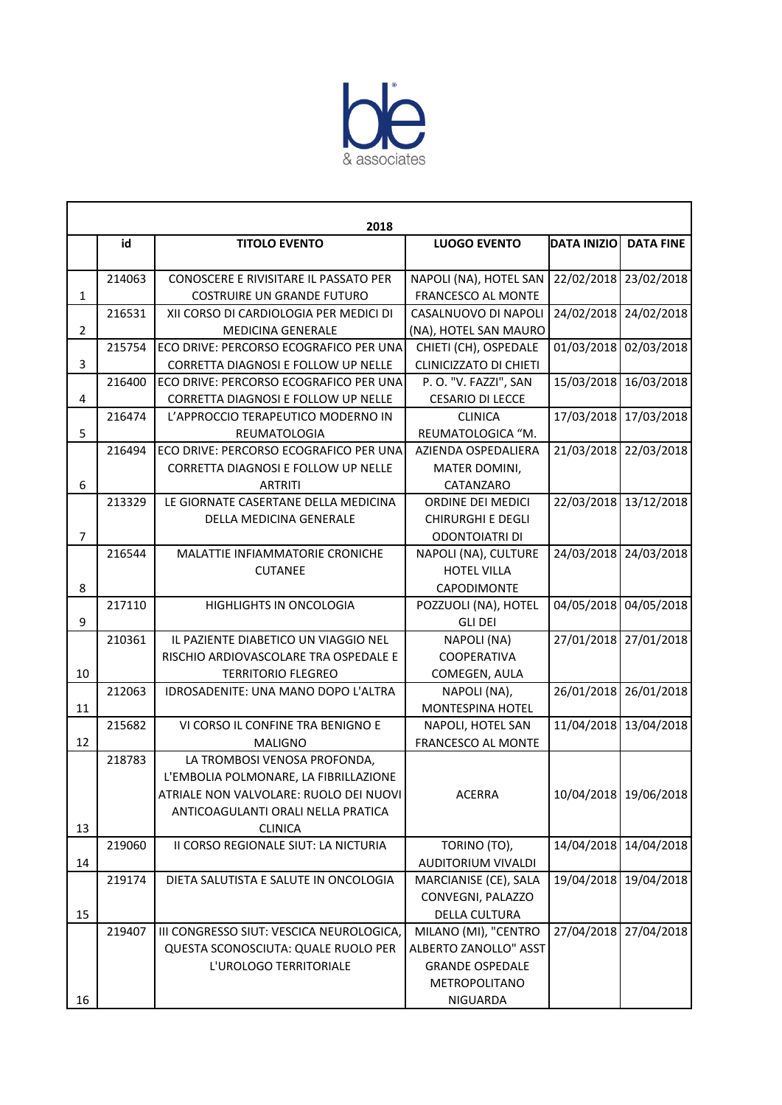

|              | 2018   |                                          |                               |                    |                       |  |  |
|--------------|--------|------------------------------------------|-------------------------------|--------------------|-----------------------|--|--|
|              | id     | <b>TITOLO EVENTO</b>                     | <b>LUOGO EVENTO</b>           | <b>DATA INIZIO</b> | <b>DATA FINE</b>      |  |  |
|              |        |                                          |                               |                    |                       |  |  |
|              | 214063 | CONOSCERE E RIVISITARE IL PASSATO PER    | NAPOLI (NA), HOTEL SAN        | 22/02/2018         | 23/02/2018            |  |  |
| $\mathbf{1}$ |        | <b>COSTRUIRE UN GRANDE FUTURO</b>        | FRANCESCO AL MONTE            |                    |                       |  |  |
|              | 216531 | XII CORSO DI CARDIOLOGIA PER MEDICI DI   | CASALNUOVO DI NAPOLI          | 24/02/2018         | 24/02/2018            |  |  |
| 2            |        | <b>MEDICINA GENERALE</b>                 | (NA), HOTEL SAN MAURO         |                    |                       |  |  |
|              | 215754 | ECO DRIVE: PERCORSO ECOGRAFICO PER UNA   | CHIETI (CH), OSPEDALE         | 01/03/2018         | 02/03/2018            |  |  |
| 3            |        | CORRETTA DIAGNOSI E FOLLOW UP NELLE      | <b>CLINICIZZATO DI CHIETI</b> |                    |                       |  |  |
|              | 216400 | ECO DRIVE: PERCORSO ECOGRAFICO PER UNA   | P.O. "V. FAZZI", SAN          | 15/03/2018         | 16/03/2018            |  |  |
| 4            |        | CORRETTA DIAGNOSI E FOLLOW UP NELLE      | <b>CESARIO DI LECCE</b>       |                    |                       |  |  |
|              | 216474 | L'APPROCCIO TERAPEUTICO MODERNO IN       | <b>CLINICA</b>                | 17/03/2018         | 17/03/2018            |  |  |
| 5            |        | REUMATOLOGIA                             | REUMATOLOGICA "M.             |                    |                       |  |  |
|              | 216494 | ECO DRIVE: PERCORSO ECOGRAFICO PER UNA   | AZIENDA OSPEDALIERA           | 21/03/2018         | 22/03/2018            |  |  |
|              |        | CORRETTA DIAGNOSI E FOLLOW UP NELLE      | MATER DOMINI,                 |                    |                       |  |  |
| 6            |        | <b>ARTRITI</b>                           | CATANZARO                     |                    |                       |  |  |
|              | 213329 | LE GIORNATE CASERTANE DELLA MEDICINA     | ORDINE DEI MEDICI             | 22/03/2018         | 13/12/2018            |  |  |
|              |        | <b>DELLA MEDICINA GENERALE</b>           | <b>CHIRURGHI E DEGLI</b>      |                    |                       |  |  |
| 7            |        |                                          | <b>ODONTOIATRI DI</b>         |                    |                       |  |  |
|              | 216544 | MALATTIE INFIAMMATORIE CRONICHE          | NAPOLI (NA), CULTURE          | 24/03/2018         | 24/03/2018            |  |  |
|              |        | <b>CUTANEE</b>                           | <b>HOTEL VILLA</b>            |                    |                       |  |  |
| 8            |        |                                          | CAPODIMONTE                   |                    |                       |  |  |
|              | 217110 | HIGHLIGHTS IN ONCOLOGIA                  | POZZUOLI (NA), HOTEL          | 04/05/2018         | 04/05/2018            |  |  |
| 9            |        |                                          | <b>GLI DEI</b>                |                    |                       |  |  |
|              | 210361 | IL PAZIENTE DIABETICO UN VIAGGIO NEL     | NAPOLI (NA)                   | 27/01/2018         | 27/01/2018            |  |  |
|              |        | RISCHIO ARDIOVASCOLARE TRA OSPEDALE E    | COOPERATIVA                   |                    |                       |  |  |
| 10           |        | <b>TERRITORIO FLEGREO</b>                | COMEGEN, AULA                 |                    |                       |  |  |
|              | 212063 | IDROSADENITE: UNA MANO DOPO L'ALTRA      | NAPOLI (NA),                  | 26/01/2018         | 26/01/2018            |  |  |
| 11           |        |                                          | <b>MONTESPINA HOTEL</b>       |                    |                       |  |  |
|              | 215682 | VI CORSO IL CONFINE TRA BENIGNO E        | NAPOLI, HOTEL SAN             | 11/04/2018         | 13/04/2018            |  |  |
| 12           |        | <b>MALIGNO</b>                           | FRANCESCO AL MONTE            |                    |                       |  |  |
|              | 218783 | LA TROMBOSI VENOSA PROFONDA,             |                               |                    |                       |  |  |
|              |        | L'EMBOLIA POLMONARE, LA FIBRILLAZIONE    |                               |                    |                       |  |  |
|              |        | ATRIALE NON VALVOLARE: RUOLO DEI NUOVI   | <b>ACERRA</b>                 |                    | 10/04/2018 19/06/2018 |  |  |
|              |        | ANTICOAGULANTI ORALI NELLA PRATICA       |                               |                    |                       |  |  |
| 13           |        | <b>CLINICA</b>                           |                               |                    |                       |  |  |
|              | 219060 | II CORSO REGIONALE SIUT: LA NICTURIA     | TORINO (TO),                  | 14/04/2018         | 14/04/2018            |  |  |
| 14           |        |                                          | AUDITORIUM VIVALDI            |                    |                       |  |  |
|              | 219174 | DIETA SALUTISTA E SALUTE IN ONCOLOGIA    | MARCIANISE (CE), SALA         | 19/04/2018         | 19/04/2018            |  |  |
|              |        |                                          | CONVEGNI, PALAZZO             |                    |                       |  |  |
| 15           |        |                                          | <b>DELLA CULTURA</b>          |                    |                       |  |  |
|              | 219407 | III CONGRESSO SIUT: VESCICA NEUROLOGICA, | MILANO (MI), "CENTRO          | 27/04/2018         | 27/04/2018            |  |  |
|              |        | QUESTA SCONOSCIUTA: QUALE RUOLO PER      | ALBERTO ZANOLLO" ASST         |                    |                       |  |  |
|              |        | L'UROLOGO TERRITORIALE                   | <b>GRANDE OSPEDALE</b>        |                    |                       |  |  |
|              |        |                                          | METROPOLITANO                 |                    |                       |  |  |
| 16           |        |                                          | NIGUARDA                      |                    |                       |  |  |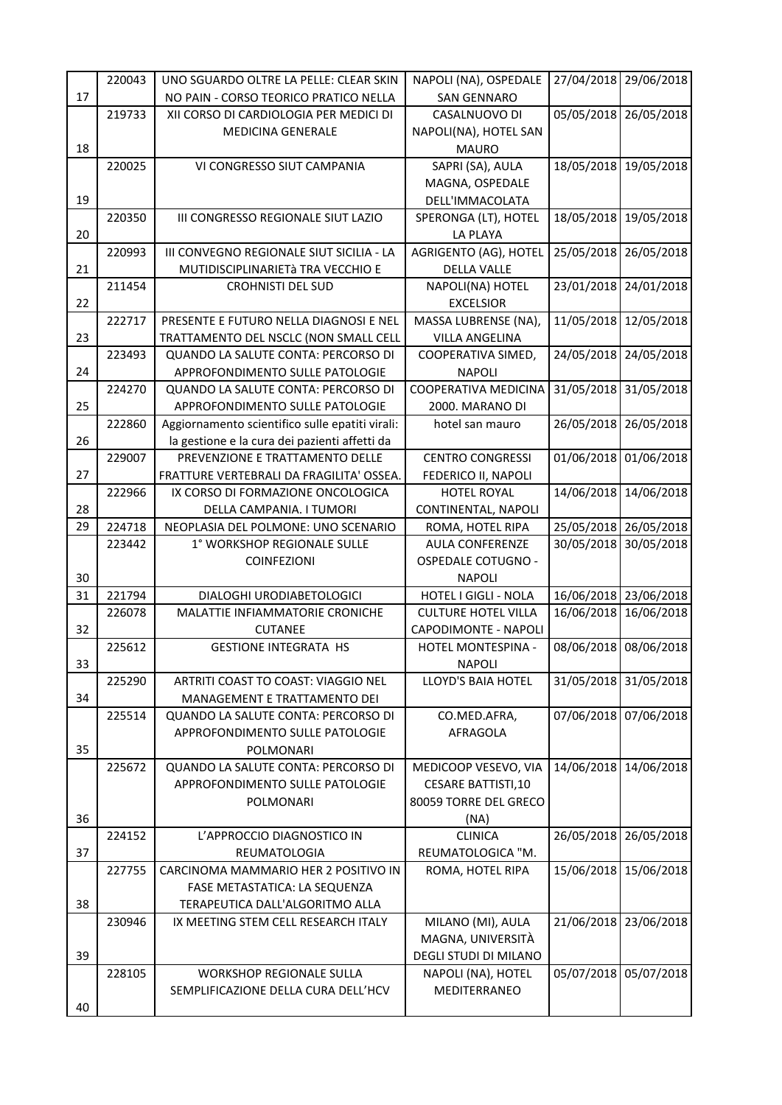|    | 220043 | UNO SGUARDO OLTRE LA PELLE: CLEAR SKIN           | NAPOLI (NA), OSPEDALE                              | 27/04/2018 | 29/06/2018 |
|----|--------|--------------------------------------------------|----------------------------------------------------|------------|------------|
| 17 |        | NO PAIN - CORSO TEORICO PRATICO NELLA            | <b>SAN GENNARO</b>                                 |            |            |
|    | 219733 | XII CORSO DI CARDIOLOGIA PER MEDICI DI           | CASALNUOVO DI                                      | 05/05/2018 | 26/05/2018 |
|    |        | <b>MEDICINA GENERALE</b>                         | NAPOLI(NA), HOTEL SAN                              |            |            |
| 18 |        |                                                  | <b>MAURO</b>                                       |            |            |
|    | 220025 | VI CONGRESSO SIUT CAMPANIA                       | SAPRI (SA), AULA                                   | 18/05/2018 | 19/05/2018 |
|    |        |                                                  | MAGNA, OSPEDALE                                    |            |            |
| 19 |        |                                                  | DELL'IMMACOLATA                                    |            |            |
|    | 220350 | III CONGRESSO REGIONALE SIUT LAZIO               | SPERONGA (LT), HOTEL                               | 18/05/2018 | 19/05/2018 |
| 20 |        |                                                  | LA PLAYA                                           |            |            |
|    | 220993 | III CONVEGNO REGIONALE SIUT SICILIA - LA         | AGRIGENTO (AG), HOTEL                              | 25/05/2018 | 26/05/2018 |
| 21 |        | MUTIDISCIPLINARIETà TRA VECCHIO E                | <b>DELLA VALLE</b>                                 |            |            |
| 22 | 211454 | <b>CROHNISTI DEL SUD</b>                         | NAPOLI(NA) HOTEL                                   | 23/01/2018 | 24/01/2018 |
|    | 222717 | PRESENTE E FUTURO NELLA DIAGNOSI E NEL           | <b>EXCELSIOR</b><br>MASSA LUBRENSE (NA),           | 11/05/2018 | 12/05/2018 |
| 23 |        | TRATTAMENTO DEL NSCLC (NON SMALL CELL            | <b>VILLA ANGELINA</b>                              |            |            |
|    | 223493 | QUANDO LA SALUTE CONTA: PERCORSO DI              | COOPERATIVA SIMED,                                 | 24/05/2018 | 24/05/2018 |
| 24 |        | APPROFONDIMENTO SULLE PATOLOGIE                  | <b>NAPOLI</b>                                      |            |            |
|    | 224270 | QUANDO LA SALUTE CONTA: PERCORSO DI              | COOPERATIVA MEDICINA                               | 31/05/2018 | 31/05/2018 |
| 25 |        | APPROFONDIMENTO SULLE PATOLOGIE                  | 2000. MARANO DI                                    |            |            |
|    | 222860 | Aggiornamento scientifico sulle epatiti virali:  | hotel san mauro                                    | 26/05/2018 | 26/05/2018 |
| 26 |        | la gestione e la cura dei pazienti affetti da    |                                                    |            |            |
|    | 229007 | PREVENZIONE E TRATTAMENTO DELLE                  | <b>CENTRO CONGRESSI</b>                            | 01/06/2018 | 01/06/2018 |
| 27 |        | FRATTURE VERTEBRALI DA FRAGILITA' OSSEA.         | FEDERICO II, NAPOLI                                |            |            |
|    | 222966 | IX CORSO DI FORMAZIONE ONCOLOGICA                | <b>HOTEL ROYAL</b>                                 | 14/06/2018 | 14/06/2018 |
| 28 |        | DELLA CAMPANIA. I TUMORI                         | CONTINENTAL, NAPOLI                                |            |            |
| 29 | 224718 | NEOPLASIA DEL POLMONE: UNO SCENARIO              | ROMA, HOTEL RIPA                                   | 25/05/2018 | 26/05/2018 |
|    | 223442 | 1° WORKSHOP REGIONALE SULLE                      | <b>AULA CONFERENZE</b>                             | 30/05/2018 | 30/05/2018 |
|    |        | <b>COINFEZIONI</b>                               | <b>OSPEDALE COTUGNO -</b>                          |            |            |
| 30 |        |                                                  | <b>NAPOLI</b>                                      |            |            |
| 31 | 221794 | DIALOGHI URODIABETOLOGICI                        | <b>HOTEL I GIGLI - NOLA</b>                        | 16/06/2018 | 23/06/2018 |
|    | 226078 | MALATTIE INFIAMMATORIE CRONICHE                  | <b>CULTURE HOTEL VILLA</b>                         | 16/06/2018 | 16/06/2018 |
| 32 |        | <b>CUTANEE</b>                                   | CAPODIMONTE - NAPOLI                               |            |            |
|    | 225612 | <b>GESTIONE INTEGRATA HS</b>                     | HOTEL MONTESPINA -                                 | 08/06/2018 | 08/06/2018 |
| 33 |        |                                                  | <b>NAPOLI</b>                                      |            |            |
|    | 225290 | ARTRITI COAST TO COAST: VIAGGIO NEL              | LLOYD'S BAIA HOTEL                                 | 31/05/2018 | 31/05/2018 |
| 34 |        | MANAGEMENT E TRATTAMENTO DEI                     |                                                    |            |            |
|    | 225514 | QUANDO LA SALUTE CONTA: PERCORSO DI              | CO.MED.AFRA,                                       | 07/06/2018 | 07/06/2018 |
|    |        | APPROFONDIMENTO SULLE PATOLOGIE                  | AFRAGOLA                                           |            |            |
| 35 | 225672 | POLMONARI<br>QUANDO LA SALUTE CONTA: PERCORSO DI | MEDICOOP VESEVO, VIA                               | 14/06/2018 | 14/06/2018 |
|    |        | APPROFONDIMENTO SULLE PATOLOGIE                  |                                                    |            |            |
|    |        | POLMONARI                                        | <b>CESARE BATTISTI,10</b><br>80059 TORRE DEL GRECO |            |            |
| 36 |        |                                                  | (NA)                                               |            |            |
|    | 224152 | L'APPROCCIO DIAGNOSTICO IN                       | <b>CLINICA</b>                                     | 26/05/2018 | 26/05/2018 |
| 37 |        | REUMATOLOGIA                                     | REUMATOLOGICA "M.                                  |            |            |
|    | 227755 | CARCINOMA MAMMARIO HER 2 POSITIVO IN             | ROMA, HOTEL RIPA                                   | 15/06/2018 | 15/06/2018 |
|    |        | FASE METASTATICA: LA SEQUENZA                    |                                                    |            |            |
| 38 |        | TERAPEUTICA DALL'ALGORITMO ALLA                  |                                                    |            |            |
|    | 230946 | IX MEETING STEM CELL RESEARCH ITALY              | MILANO (MI), AULA                                  | 21/06/2018 | 23/06/2018 |
|    |        |                                                  | MAGNA, UNIVERSITÀ                                  |            |            |
| 39 |        |                                                  | DEGLI STUDI DI MILANO                              |            |            |
|    | 228105 | <b>WORKSHOP REGIONALE SULLA</b>                  | NAPOLI (NA), HOTEL                                 | 05/07/2018 | 05/07/2018 |
|    |        | SEMPLIFICAZIONE DELLA CURA DELL'HCV              | MEDITERRANEO                                       |            |            |
|    |        |                                                  |                                                    |            |            |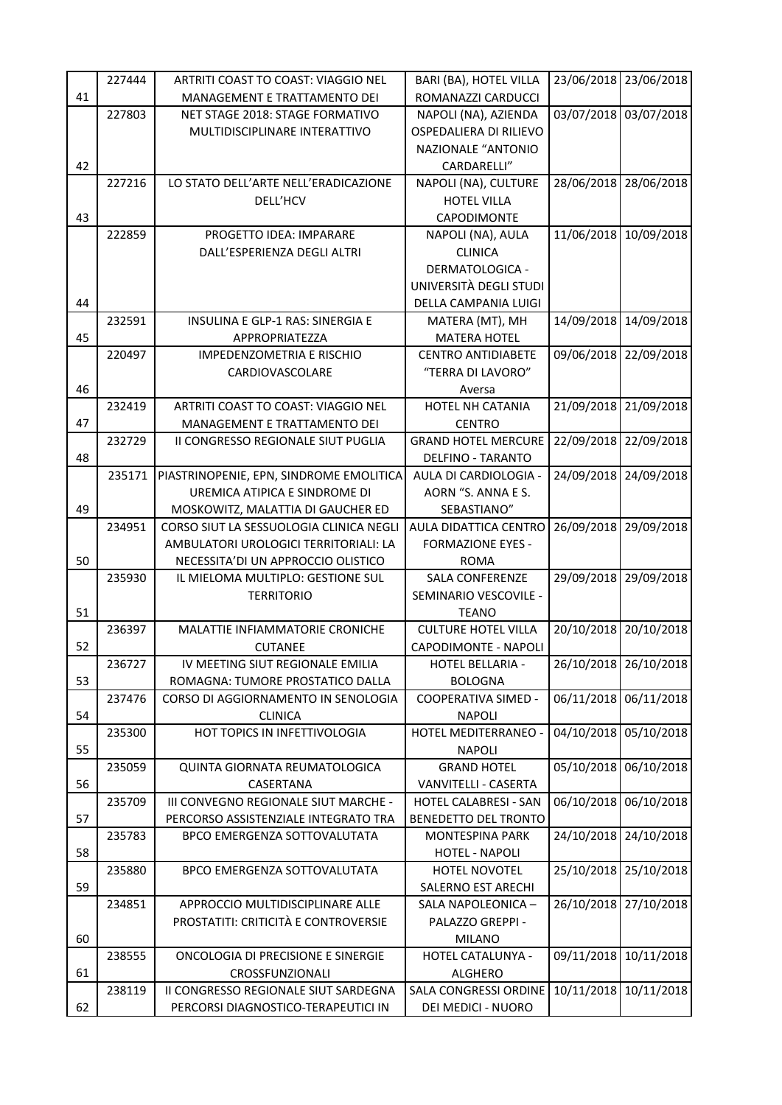|    | 227444 | ARTRITI COAST TO COAST: VIAGGIO NEL                                      | BARI (BA), HOTEL VILLA                            | 23/06/2018 | 23/06/2018 |
|----|--------|--------------------------------------------------------------------------|---------------------------------------------------|------------|------------|
| 41 |        | MANAGEMENT E TRATTAMENTO DEI                                             | ROMANAZZI CARDUCCI                                |            |            |
|    | 227803 | NET STAGE 2018: STAGE FORMATIVO                                          | NAPOLI (NA), AZIENDA                              | 03/07/2018 | 03/07/2018 |
|    |        | MULTIDISCIPLINARE INTERATTIVO                                            | OSPEDALIERA DI RILIEVO                            |            |            |
|    |        |                                                                          | <b>NAZIONALE "ANTONIO</b>                         |            |            |
| 42 |        |                                                                          | CARDARELLI"                                       |            |            |
|    | 227216 | LO STATO DELL'ARTE NELL'ERADICAZIONE                                     | NAPOLI (NA), CULTURE                              | 28/06/2018 | 28/06/2018 |
|    |        | DELL'HCV                                                                 | <b>HOTEL VILLA</b>                                |            |            |
| 43 |        |                                                                          | CAPODIMONTE                                       |            |            |
|    | 222859 | PROGETTO IDEA: IMPARARE                                                  | NAPOLI (NA), AULA                                 | 11/06/2018 | 10/09/2018 |
|    |        | DALL'ESPERIENZA DEGLI ALTRI                                              | <b>CLINICA</b>                                    |            |            |
|    |        |                                                                          | DERMATOLOGICA -                                   |            |            |
|    |        |                                                                          | UNIVERSITÀ DEGLI STUDI                            |            |            |
| 44 |        |                                                                          | DELLA CAMPANIA LUIGI                              |            |            |
|    | 232591 | INSULINA E GLP-1 RAS: SINERGIA E                                         | MATERA (MT), MH                                   | 14/09/2018 | 14/09/2018 |
| 45 |        | APPROPRIATEZZA                                                           | <b>MATERA HOTEL</b>                               |            |            |
|    | 220497 | IMPEDENZOMETRIA E RISCHIO                                                | <b>CENTRO ANTIDIABETE</b>                         | 09/06/2018 | 22/09/2018 |
|    |        | CARDIOVASCOLARE                                                          | "TERRA DI LAVORO"                                 |            |            |
| 46 |        |                                                                          | Aversa                                            |            |            |
|    | 232419 | ARTRITI COAST TO COAST: VIAGGIO NEL                                      | HOTEL NH CATANIA                                  | 21/09/2018 | 21/09/2018 |
| 47 | 232729 | MANAGEMENT E TRATTAMENTO DEI                                             | <b>CENTRO</b>                                     |            |            |
| 48 |        | II CONGRESSO REGIONALE SIUT PUGLIA                                       | <b>GRAND HOTEL MERCURE</b>                        | 22/09/2018 | 22/09/2018 |
|    | 235171 | PIASTRINOPENIE, EPN, SINDROME EMOLITICA                                  | <b>DELFINO - TARANTO</b><br>AULA DI CARDIOLOGIA - | 24/09/2018 | 24/09/2018 |
|    |        | UREMICA ATIPICA E SINDROME DI                                            | AORN "S. ANNA E S.                                |            |            |
| 49 |        | MOSKOWITZ, MALATTIA DI GAUCHER ED                                        | SEBASTIANO"                                       |            |            |
|    | 234951 | CORSO SIUT LA SESSUOLOGIA CLINICA NEGLI                                  | AULA DIDATTICA CENTRO                             | 26/09/2018 | 29/09/2018 |
|    |        | AMBULATORI UROLOGICI TERRITORIALI: LA                                    | <b>FORMAZIONE EYES -</b>                          |            |            |
| 50 |        | NECESSITA'DI UN APPROCCIO OLISTICO                                       | <b>ROMA</b>                                       |            |            |
|    | 235930 | IL MIELOMA MULTIPLO: GESTIONE SUL                                        | <b>SALA CONFERENZE</b>                            | 29/09/2018 | 29/09/2018 |
|    |        | <b>TERRITORIO</b>                                                        | SEMINARIO VESCOVILE -                             |            |            |
| 51 |        |                                                                          | <b>TEANO</b>                                      |            |            |
|    | 236397 | MALATTIE INFIAMMATORIE CRONICHE                                          | <b>CULTURE HOTEL VILLA</b>                        | 20/10/2018 | 20/10/2018 |
| 52 |        | <b>CUTANEE</b>                                                           | CAPODIMONTE - NAPOLI                              |            |            |
|    | 236727 | IV MEETING SIUT REGIONALE EMILIA                                         | HOTEL BELLARIA -                                  | 26/10/2018 | 26/10/2018 |
| 53 |        | ROMAGNA: TUMORE PROSTATICO DALLA                                         | <b>BOLOGNA</b>                                    |            |            |
|    | 237476 | CORSO DI AGGIORNAMENTO IN SENOLOGIA                                      | COOPERATIVA SIMED -                               | 06/11/2018 | 06/11/2018 |
| 54 |        | <b>CLINICA</b>                                                           | <b>NAPOLI</b>                                     |            |            |
|    | 235300 | HOT TOPICS IN INFETTIVOLOGIA                                             | HOTEL MEDITERRANEO -                              | 04/10/2018 | 05/10/2018 |
| 55 |        |                                                                          | <b>NAPOLI</b>                                     |            |            |
|    | 235059 | QUINTA GIORNATA REUMATOLOGICA                                            | <b>GRAND HOTEL</b>                                | 05/10/2018 | 06/10/2018 |
| 56 |        | CASERTANA                                                                | VANVITELLI - CASERTA                              |            |            |
|    | 235709 | III CONVEGNO REGIONALE SIUT MARCHE -                                     | HOTEL CALABRESI - SAN                             | 06/10/2018 | 06/10/2018 |
| 57 |        | PERCORSO ASSISTENZIALE INTEGRATO TRA                                     | <b>BENEDETTO DEL TRONTO</b>                       |            |            |
|    | 235783 | BPCO EMERGENZA SOTTOVALUTATA                                             | <b>MONTESPINA PARK</b>                            | 24/10/2018 | 24/10/2018 |
| 58 |        |                                                                          | HOTEL - NAPOLI                                    |            |            |
|    | 235880 | BPCO EMERGENZA SOTTOVALUTATA                                             | HOTEL NOVOTEL                                     | 25/10/2018 | 25/10/2018 |
| 59 |        |                                                                          | SALERNO EST ARECHI                                |            |            |
|    | 234851 | APPROCCIO MULTIDISCIPLINARE ALLE<br>PROSTATITI: CRITICITÀ E CONTROVERSIE | SALA NAPOLEONICA -                                | 26/10/2018 | 27/10/2018 |
| 60 |        |                                                                          | PALAZZO GREPPI -                                  |            |            |
|    | 238555 | ONCOLOGIA DI PRECISIONE E SINERGIE                                       | <b>MILANO</b><br>HOTEL CATALUNYA -                | 09/11/2018 | 10/11/2018 |
| 61 |        | CROSSFUNZIONALI                                                          | ALGHERO                                           |            |            |
|    | 238119 | II CONGRESSO REGIONALE SIUT SARDEGNA                                     | SALA CONGRESSI ORDINE                             | 10/11/2018 | 10/11/2018 |
| 62 |        | PERCORSI DIAGNOSTICO-TERAPEUTICI IN                                      | DEI MEDICI - NUORO                                |            |            |
|    |        |                                                                          |                                                   |            |            |